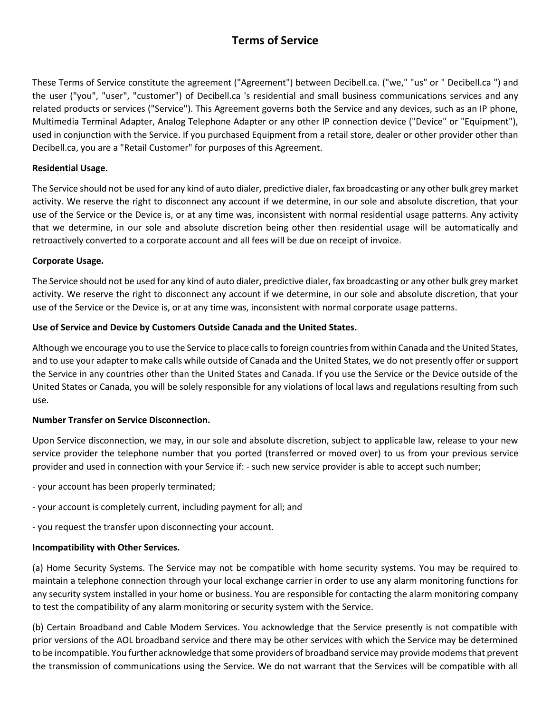# **Terms of Service**

These Terms of Service constitute the agreement ("Agreement") between Decibell.ca. ("we," "us" or " Decibell.ca ") and the user ("you", "user", "customer") of Decibell.ca 's residential and small business communications services and any related products or services ("Service"). This Agreement governs both the Service and any devices, such as an IP phone, Multimedia Terminal Adapter, Analog Telephone Adapter or any other IP connection device ("Device" or "Equipment"), used in conjunction with the Service. If you purchased Equipment from a retail store, dealer or other provider other than Decibell.ca, you are a "Retail Customer" for purposes of this Agreement.

#### **Residential Usage.**

The Service should not be used for any kind of auto dialer, predictive dialer, fax broadcasting or any other bulk grey market activity. We reserve the right to disconnect any account if we determine, in our sole and absolute discretion, that your use of the Service or the Device is, or at any time was, inconsistent with normal residential usage patterns. Any activity that we determine, in our sole and absolute discretion being other then residential usage will be automatically and retroactively converted to a corporate account and all fees will be due on receipt of invoice.

## **Corporate Usage.**

The Service should not be used for any kind of auto dialer, predictive dialer, fax broadcasting or any other bulk grey market activity. We reserve the right to disconnect any account if we determine, in our sole and absolute discretion, that your use of the Service or the Device is, or at any time was, inconsistent with normal corporate usage patterns.

## **Use of Service and Device by Customers Outside Canada and the United States.**

Although we encourage you to use the Service to place calls to foreign countries from within Canada and the United States, and to use your adapter to make calls while outside of Canada and the United States, we do not presently offer or support the Service in any countries other than the United States and Canada. If you use the Service or the Device outside of the United States or Canada, you will be solely responsible for any violations of local laws and regulations resulting from such use.

#### **Number Transfer on Service Disconnection.**

Upon Service disconnection, we may, in our sole and absolute discretion, subject to applicable law, release to your new service provider the telephone number that you ported (transferred or moved over) to us from your previous service provider and used in connection with your Service if: - such new service provider is able to accept such number;

- your account has been properly terminated;
- your account is completely current, including payment for all; and
- you request the transfer upon disconnecting your account.

#### **Incompatibility with Other Services.**

(a) Home Security Systems. The Service may not be compatible with home security systems. You may be required to maintain a telephone connection through your local exchange carrier in order to use any alarm monitoring functions for any security system installed in your home or business. You are responsible for contacting the alarm monitoring company to test the compatibility of any alarm monitoring or security system with the Service.

(b) Certain Broadband and Cable Modem Services. You acknowledge that the Service presently is not compatible with prior versions of the AOL broadband service and there may be other services with which the Service may be determined to be incompatible. You further acknowledge that some providers of broadband service may provide modems that prevent the transmission of communications using the Service. We do not warrant that the Services will be compatible with all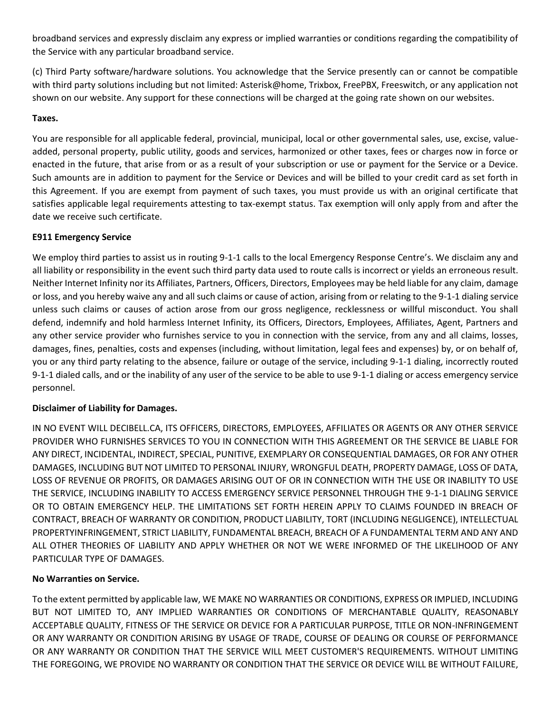broadband services and expressly disclaim any express or implied warranties or conditions regarding the compatibility of the Service with any particular broadband service.

(c) Third Party software/hardware solutions. You acknowledge that the Service presently can or cannot be compatible with third party solutions including but not limited: Asterisk@home, Trixbox, FreePBX, Freeswitch, or any application not shown on our website. Any support for these connections will be charged at the going rate shown on our websites.

## **Taxes.**

You are responsible for all applicable federal, provincial, municipal, local or other governmental sales, use, excise, valueadded, personal property, public utility, goods and services, harmonized or other taxes, fees or charges now in force or enacted in the future, that arise from or as a result of your subscription or use or payment for the Service or a Device. Such amounts are in addition to payment for the Service or Devices and will be billed to your credit card as set forth in this Agreement. If you are exempt from payment of such taxes, you must provide us with an original certificate that satisfies applicable legal requirements attesting to tax-exempt status. Tax exemption will only apply from and after the date we receive such certificate.

## **E911 Emergency Service**

We employ third parties to assist us in routing 9-1-1 calls to the local Emergency Response Centre's. We disclaim any and all liability or responsibility in the event such third party data used to route calls is incorrect or yields an erroneous result. Neither Internet Infinity nor its Affiliates, Partners, Officers, Directors, Employees may be held liable for any claim, damage or loss, and you hereby waive any and all such claims or cause of action, arising from or relating to the 9-1-1 dialing service unless such claims or causes of action arose from our gross negligence, recklessness or willful misconduct. You shall defend, indemnify and hold harmless Internet Infinity, its Officers, Directors, Employees, Affiliates, Agent, Partners and any other service provider who furnishes service to you in connection with the service, from any and all claims, losses, damages, fines, penalties, costs and expenses (including, without limitation, legal fees and expenses) by, or on behalf of, you or any third party relating to the absence, failure or outage of the service, including 9-1-1 dialing, incorrectly routed 9-1-1 dialed calls, and or the inability of any user of the service to be able to use 9-1-1 dialing or access emergency service personnel.

# **Disclaimer of Liability for Damages.**

IN NO EVENT WILL DECIBELL.CA, ITS OFFICERS, DIRECTORS, EMPLOYEES, AFFILIATES OR AGENTS OR ANY OTHER SERVICE PROVIDER WHO FURNISHES SERVICES TO YOU IN CONNECTION WITH THIS AGREEMENT OR THE SERVICE BE LIABLE FOR ANY DIRECT, INCIDENTAL, INDIRECT, SPECIAL, PUNITIVE, EXEMPLARY OR CONSEQUENTIAL DAMAGES, OR FOR ANY OTHER DAMAGES, INCLUDING BUT NOT LIMITED TO PERSONAL INJURY, WRONGFUL DEATH, PROPERTY DAMAGE, LOSS OF DATA, LOSS OF REVENUE OR PROFITS, OR DAMAGES ARISING OUT OF OR IN CONNECTION WITH THE USE OR INABILITY TO USE THE SERVICE, INCLUDING INABILITY TO ACCESS EMERGENCY SERVICE PERSONNEL THROUGH THE 9-1-1 DIALING SERVICE OR TO OBTAIN EMERGENCY HELP. THE LIMITATIONS SET FORTH HEREIN APPLY TO CLAIMS FOUNDED IN BREACH OF CONTRACT, BREACH OF WARRANTY OR CONDITION, PRODUCT LIABILITY, TORT (INCLUDING NEGLIGENCE), INTELLECTUAL PROPERTYINFRINGEMENT, STRICT LIABILITY, FUNDAMENTAL BREACH, BREACH OF A FUNDAMENTAL TERM AND ANY AND ALL OTHER THEORIES OF LIABILITY AND APPLY WHETHER OR NOT WE WERE INFORMED OF THE LIKELIHOOD OF ANY PARTICULAR TYPE OF DAMAGES.

# **No Warranties on Service.**

To the extent permitted by applicable law, WE MAKE NO WARRANTIES OR CONDITIONS, EXPRESS OR IMPLIED, INCLUDING BUT NOT LIMITED TO, ANY IMPLIED WARRANTIES OR CONDITIONS OF MERCHANTABLE QUALITY, REASONABLY ACCEPTABLE QUALITY, FITNESS OF THE SERVICE OR DEVICE FOR A PARTICULAR PURPOSE, TITLE OR NON-INFRINGEMENT OR ANY WARRANTY OR CONDITION ARISING BY USAGE OF TRADE, COURSE OF DEALING OR COURSE OF PERFORMANCE OR ANY WARRANTY OR CONDITION THAT THE SERVICE WILL MEET CUSTOMER'S REQUIREMENTS. WITHOUT LIMITING THE FOREGOING, WE PROVIDE NO WARRANTY OR CONDITION THAT THE SERVICE OR DEVICE WILL BE WITHOUT FAILURE,